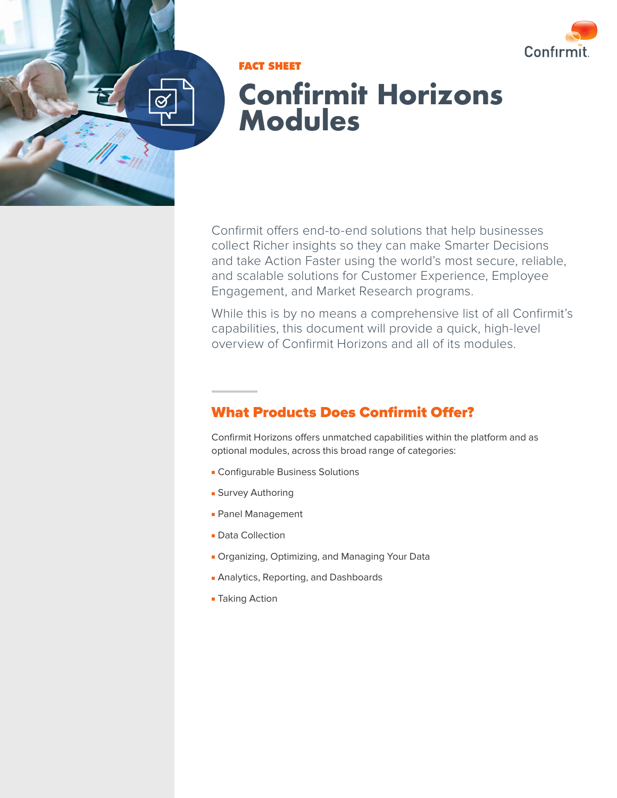

**FACT SHEET**

# **Confirmit Horizons Modules**

Confirmit offers end-to-end solutions that help businesses collect Richer insights so they can make Smarter Decisions and take Action Faster using the world's most secure, reliable, and scalable solutions for Customer Experience, Employee Engagement, and Market Research programs.

While this is by no means a comprehensive list of all Confirmit's capabilities, this document will provide a quick, high-level overview of Confirmit Horizons and all of its modules.

# What Products Does Confirmit Offer?

Confirmit Horizons offers unmatched capabilities within the platform and as optional modules, across this broad range of categories:

- Configurable Business Solutions
- Survey Authoring
- Panel Management
- Data Collection
- Organizing, Optimizing, and Managing Your Data
- Analytics, Reporting, and Dashboards
- Taking Action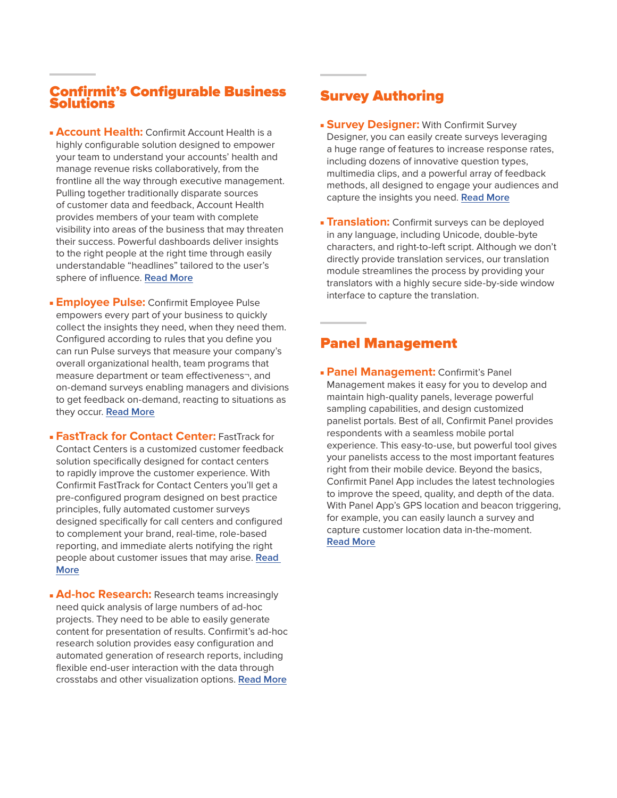#### Confirmit's Configurable Business Solutions

- **Account Health:** Confirmit Account Health is a highly configurable solution designed to empower your team to understand your accounts' health and manage revenue risks collaboratively, from the frontline all the way through executive management. Pulling together traditionally disparate sources of customer data and feedback, Account Health provides members of your team with complete visibility into areas of the business that may threaten their success. Powerful dashboards deliver insights to the right people at the right time through easily understandable "headlines" tailored to the user's sphere of influence. **[Read More](https://www.confirmit.com/library/product-info-voc-b2b-account-health-i2a/?kui=GDUM1fB6V3bNMqEqNjzNHw)**
- **Employee Pulse:** Confirmit Employee Pulse empowers every part of your business to quickly collect the insights they need, when they need them. Configured according to rules that you define you can run Pulse surveys that measure your company's overall organizational health, team programs that measure department or team effectiveness¬, and on-demand surveys enabling managers and divisions to get feedback on-demand, reacting to situations as they occur. **[Read More](https://www.confirmit.com/library/product-info-voe-employee-pulse-factsheet-i2a/)**
- **FastTrack for Contact Center:** FastTrack for Contact Centers is a customized customer feedback solution specifically designed for contact centers to rapidly improve the customer experience. With Confirmit FastTrack for Contact Centers you'll get a pre-configured program designed on best practice principles, fully automated customer surveys designed specifically for call centers and configured to complement your brand, real-time, role-based reporting, and immediate alerts notifying the right people about customer issues that may arise. **[Read](https://www.confirmit.com/library/product-info-voc-fasttrack-factsheet-g11a/)  [More](https://www.confirmit.com/library/product-info-voc-fasttrack-factsheet-g11a/)**
- **Ad-hoc Research:** Research teams increasingly need quick analysis of large numbers of ad-hoc projects. They need to be able to easily generate content for presentation of results. Confirmit's ad-hoc research solution provides easy configuration and automated generation of research reports, including flexible end-user interaction with the data through crosstabs and other visualization options. **[Read More](https://www.confirmit.com/library/product-info-voc-fasttrack-factsheet-g11a/)**

## Survey Authoring

- **Survey Designer:** With Confirmit Survey Designer, you can easily create surveys leveraging a huge range of features to increase response rates, including dozens of innovative question types, multimedia clips, and a powerful array of feedback methods, all designed to engage your audiences and capture the insights you need. **[Read More](https://www.confirmit.com/library/product-info-insights-survey-designer-g4a/)**
- **Translation:** Confirmit surveys can be deployed in any language, including Unicode, double-byte characters, and right-to-left script. Although we don't directly provide translation services, our translation module streamlines the process by providing your translators with a highly secure side-by-side window interface to capture the translation.

#### Panel Management

**- Panel Management: Confirmit's Panel** Management makes it easy for you to develop and maintain high-quality panels, leverage powerful sampling capabilities, and design customized panelist portals. Best of all, Confirmit Panel provides respondents with a seamless mobile portal experience. This easy-to-use, but powerful tool gives your panelists access to the most important features right from their mobile device. Beyond the basics, Confirmit Panel App includes the latest technologies to improve the speed, quality, and depth of the data. With Panel App's GPS location and beacon triggering, for example, you can easily launch a survey and capture customer location data in-the-moment. **[Read More](https://www.confirmit.com/library/product-info-insights-panel-factsheet-g9a/??kui=v9iYAMj-xQFzPMNbNmnXRg)**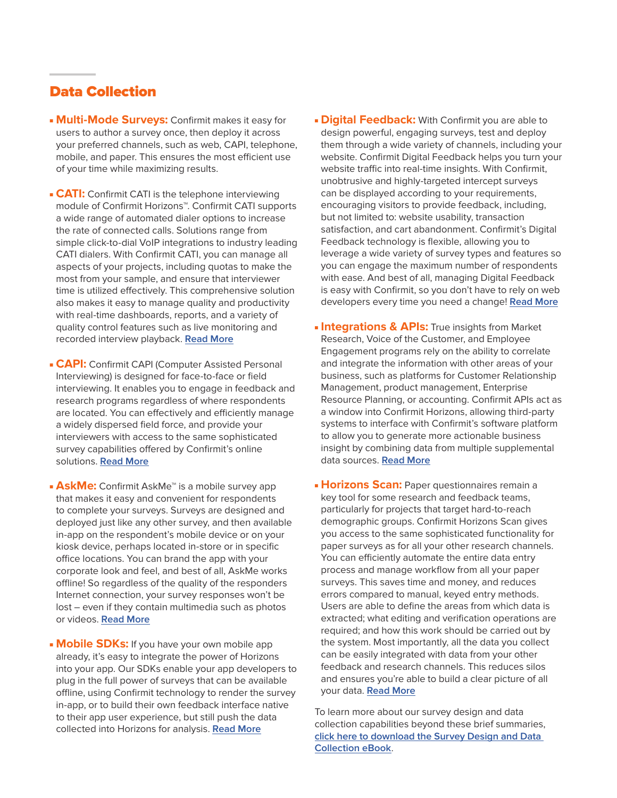## Data Collection

- **Multi-Mode Surveys:** Confirmit makes it easy for users to author a survey once, then deploy it across your preferred channels, such as web, CAPI, telephone, mobile, and paper. This ensures the most efficient use of your time while maximizing results.
- **CATI:** Confirmit CATI is the telephone interviewing module of Confirmit Horizons™. Confirmit CATI supports a wide range of automated dialer options to increase the rate of connected calls. Solutions range from simple click-to-dial VoIP integrations to industry leading CATI dialers. With Confirmit CATI, you can manage all aspects of your projects, including quotas to make the most from your sample, and ensure that interviewer time is utilized effectively. This comprehensive solution also makes it easy to manage quality and productivity with real-time dashboards, reports, and a variety of quality control features such as live monitoring and recorded interview playback. **[Read More](https://www.confirmit.com/library/product-info-mr-cati-factsheet-e4a/)**
- **CAPI:** Confirmit CAPI (Computer Assisted Personal Interviewing) is designed for face-to-face or field interviewing. It enables you to engage in feedback and research programs regardless of where respondents are located. You can effectively and efficiently manage a widely dispersed field force, and provide your interviewers with access to the same sophisticated survey capabilities offered by Confirmit's online solutions. **[Read More](https://www.confirmit.com/library/product-info-mr-capi-factsheet-h4a/)**
- **AskMe:** Confirmit AskMe<sup>™</sup> is a mobile survey app that makes it easy and convenient for respondents to complete your surveys. Surveys are designed and deployed just like any other survey, and then available in-app on the respondent's mobile device or on your kiosk device, perhaps located in-store or in specific office locations. You can brand the app with your corporate look and feel, and best of all, AskMe works offline! So regardless of the quality of the responders Internet connection, your survey responses won't be lost – even if they contain multimedia such as photos or videos. **[Read More](https://www.confirmit.com/library/product-info-insights-askme-factsheet-g4a/)**
- **Mobile SDKs:** If you have your own mobile app already, it's easy to integrate the power of Horizons into your app. Our SDKs enable your app developers to plug in the full power of surveys that can be available offline, using Confirmit technology to render the survey in-app, or to build their own feedback interface native to their app user experience, but still push the data collected into Horizons for analysis. **[Read More](https://www.confirmit.com/library/ebook-insights-confirmit-mobile-ebook-h7a/)**
- **Digital Feedback:** With Confirmit you are able to design powerful, engaging surveys, test and deploy them through a wide variety of channels, including your website. Confirmit Digital Feedback helps you turn your website traffic into real-time insights. With Confirmit, unobtrusive and highly-targeted intercept surveys can be displayed according to your requirements, encouraging visitors to provide feedback, including, but not limited to: website usability, transaction satisfaction, and cart abandonment. Confirmit's Digital Feedback technology is flexible, allowing you to leverage a wide variety of survey types and features so you can engage the maximum number of respondents with ease. And best of all, managing Digital Feedback is easy with Confirmit, so you don't have to rely on web developers every time you need a change! **[Read More](https://www.confirmit.com/library/product-info-voc-digital-feedback-factsheet-i10a/?kui=Wkkoe_vWUG0QZ7lBylKX5A)**
- **Integrations & APIs:** True insights from Market Research, Voice of the Customer, and Employee Engagement programs rely on the ability to correlate and integrate the information with other areas of your business, such as platforms for Customer Relationship Management, product management, Enterprise Resource Planning, or accounting. Confirmit APIs act as a window into Confirmit Horizons, allowing third-party systems to interface with Confirmit's software platform to allow you to generate more actionable business insight by combining data from multiple supplemental data sources. **[Read More](https://www.confirmit.com/library/product-info-insights-api-factsheet-i5a/)**
- **Horizons Scan: Paper questionnaires remain a** key tool for some research and feedback teams, particularly for projects that target hard-to-reach demographic groups. Confirmit Horizons Scan gives you access to the same sophisticated functionality for paper surveys as for all your other research channels. You can efficiently automate the entire data entry process and manage workflow from all your paper surveys. This saves time and money, and reduces errors compared to manual, keyed entry methods. Users are able to define the areas from which data is extracted; what editing and verification operations are required; and how this work should be carried out by the system. Most importantly, all the data you collect can be easily integrated with data from your other feedback and research channels. This reduces silos and ensures you're able to build a clear picture of all your data. **[Read More](https://www.confirmit.com/library/product-info-mr-scan-factsheet-d1a/)**

To learn more about our survey design and data collection capabilities beyond these brief summaries, **[click here to download the Survey Design and Data](https://www.confirmit.com/library/ebook-insights-survey-design-data-collection-h6a/?kui=FS6LR7e6V4LEzjWPOZb11g)  [Collection eBook](https://www.confirmit.com/library/ebook-insights-survey-design-data-collection-h6a/?kui=FS6LR7e6V4LEzjWPOZb11g)**.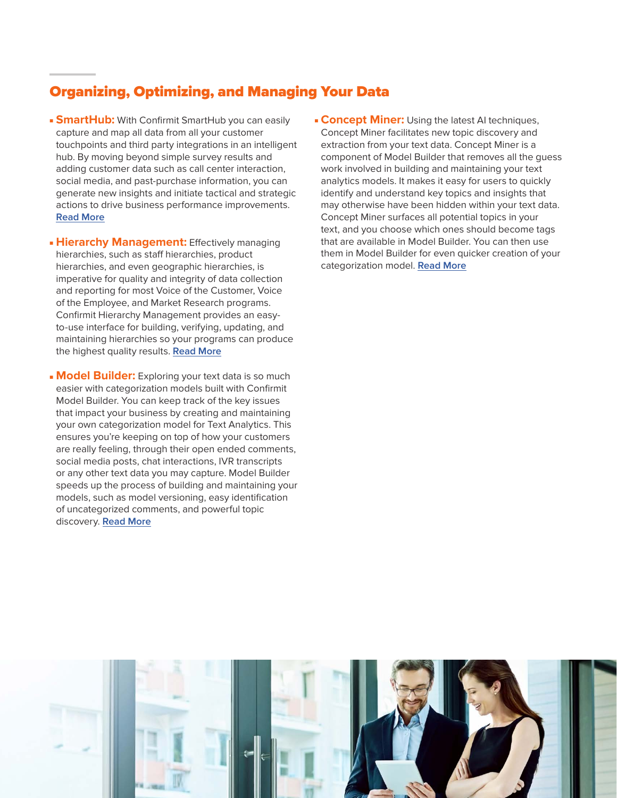## Organizing, Optimizing, and Managing Your Data

- **SmartHub:** With Confirmit SmartHub you can easily capture and map all data from all your customer touchpoints and third party integrations in an intelligent hub. By moving beyond simple survey results and adding customer data such as call center interaction, social media, and past-purchase information, you can generate new insights and initiate tactical and strategic actions to drive business performance improvements. **[Read More](https://www.confirmit.com/library/product-info-insights-smarthub-voc-factsheet-g4a/)**
- **Hierarchy Management:** Effectively managing hierarchies, such as staff hierarchies, product hierarchies, and even geographic hierarchies, is imperative for quality and integrity of data collection and reporting for most Voice of the Customer, Voice of the Employee, and Market Research programs. Confirmit Hierarchy Management provides an easyto-use interface for building, verifying, updating, and maintaining hierarchies so your programs can produce the highest quality results. **[Read More](https://www.confirmit.com/library/product-info-insights-hierarchy-management-g1a/)**
- **Model Builder:** Exploring your text data is so much easier with categorization models built with Confirmit Model Builder. You can keep track of the key issues that impact your business by creating and maintaining your own categorization model for Text Analytics. This ensures you're keeping on top of how your customers are really feeling, through their open ended comments, social media posts, chat interactions, IVR transcripts or any other text data you may capture. Model Builder speeds up the process of building and maintaining your models, such as model versioning, easy identification of uncategorized comments, and powerful topic discovery. **[Read More](https://www.confirmit.com/library/product-info-insights-genius-factsheet-g4a/?kui=cjxs7riLxokXoKg3C567xw)**

**Concept Miner:** Using the latest AI techniques, Concept Miner facilitates new topic discovery and extraction from your text data. Concept Miner is a component of Model Builder that removes all the guess work involved in building and maintaining your text analytics models. It makes it easy for users to quickly identify and understand key topics and insights that may otherwise have been hidden within your text data. Concept Miner surfaces all potential topics in your text, and you choose which ones should become tags that are available in Model Builder. You can then use them in Model Builder for even quicker creation of your categorization model. **[Read More](https://www.confirmit.com/library/product-info-insights-genius-factsheet-g4a/?kui=cjxs7riLxokXoKg3C567xw)**

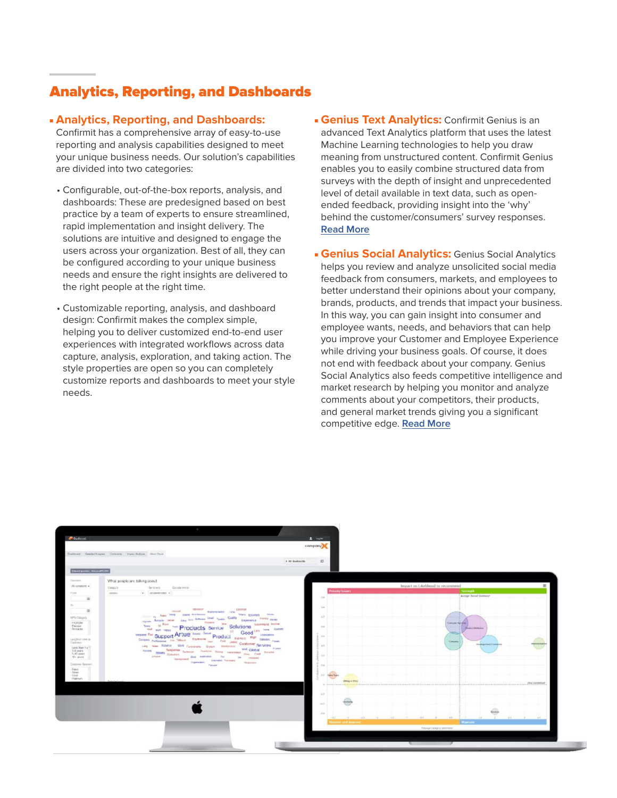## Analytics, Reporting, and Dashboards

#### ■ **Analytics, Reporting, and Dashboards:**

Confirmit has a comprehensive array of easy-to-use reporting and analysis capabilities designed to meet your unique business needs. Our solution's capabilities are divided into two categories:

- Configurable, out-of-the-box reports, analysis, and dashboards: These are predesigned based on best practice by a team of experts to ensure streamlined, rapid implementation and insight delivery. The solutions are intuitive and designed to engage the users across your organization. Best of all, they can be configured according to your unique business needs and ensure the right insights are delivered to the right people at the right time.
- Customizable reporting, analysis, and dashboard design: Confirmit makes the complex simple, helping you to deliver customized end-to-end user experiences with integrated workflows across data capture, analysis, exploration, and taking action. The style properties are open so you can completely customize reports and dashboards to meet your style needs.
- **Genius Text Analytics: Confirmit Genius is an** advanced Text Analytics platform that uses the latest Machine Learning technologies to help you draw meaning from unstructured content. Confirmit Genius enables you to easily combine structured data from surveys with the depth of insight and unprecedented level of detail available in text data, such as openended feedback, providing insight into the 'why' behind the customer/consumers' survey responses. **[Read More](https://www.confirmit.com/library/product-info-insights-genius-factsheet-g4a/?kui=cjxs7riLxokXoKg3C567xw)**
- **Genius Social Analytics: Genius Social Analytics** helps you review and analyze unsolicited social media feedback from consumers, markets, and employees to better understand their opinions about your company, brands, products, and trends that impact your business. In this way, you can gain insight into consumer and employee wants, needs, and behaviors that can help you improve your Customer and Employee Experience while driving your business goals. Of course, it does not end with feedback about your company. Genius Social Analytics also feeds competitive intelligence and market research by helping you monitor and analyze comments about your competitors, their products, and general market trends giving you a significant competitive edge. **[Read More](https://www.confirmit.com/library/product-info-insights-social-analytics-factshe-i8a/)**